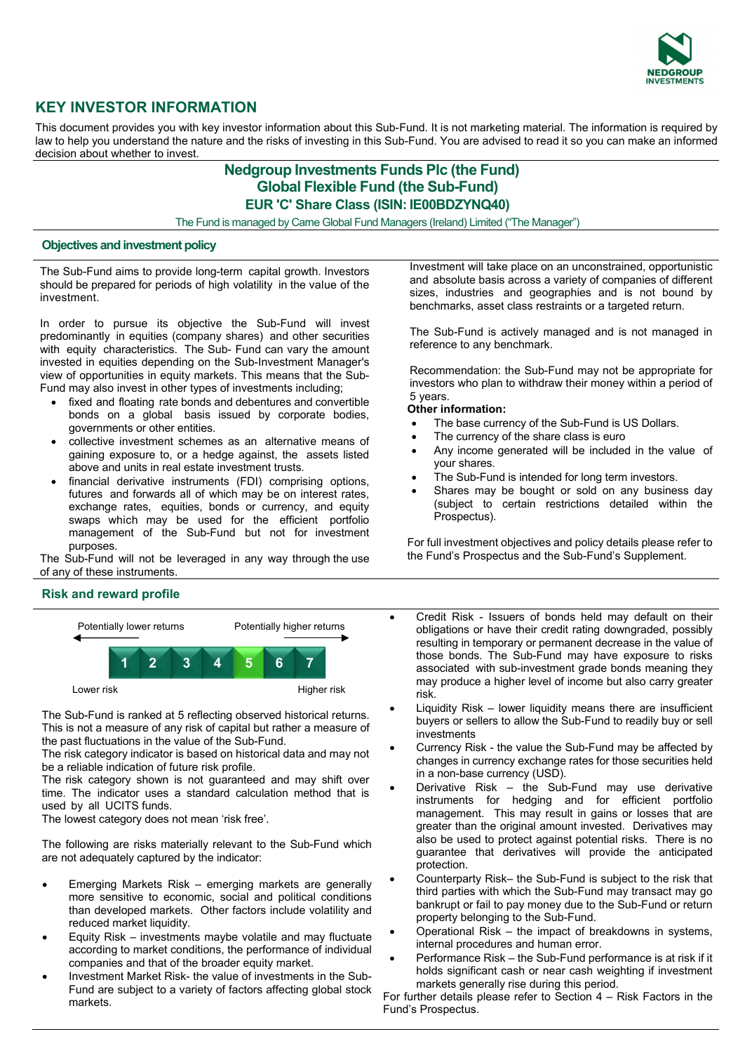

# **KEY INVESTOR INFORMATION**

This document provides you with key investor information about this Sub-Fund. It is not marketing material. The information is required by law to help you understand the nature and the risks of investing in this Sub-Fund. You are advised to read it so you can make an informed decision about whether to invest.

## **Nedgroup Investments Funds Plc (the Fund) Global Flexible Fund (the Sub-Fund) EUR 'C' Share Class (ISIN: IE00BDZYNQ40)**

The Fund is managed by Carne Global Fund Managers (Ireland) Limited ("The Manager")

## **Objectives and investment policy**

The Sub-Fund aims to provide long-term capital growth. Investors should be prepared for periods of high volatility in the value of the investment.

In order to pursue its objective the Sub-Fund will invest predominantly in equities (company shares) and other securities with equity characteristics. The Sub- Fund can vary the amount invested in equities depending on the Sub-Investment Manager's view of opportunities in equity markets. This means that the Sub-Fund may also invest in other types of investments including;

- fixed and floating rate bonds and debentures and convertible bonds on a global basis issued by corporate bodies, governments or other entities.
- collective investment schemes as an alternative means of gaining exposure to, or a hedge against, the assets listed above and units in real estate investment trusts.
- financial derivative instruments (FDI) comprising options, futures and forwards all of which may be on interest rates, exchange rates, equities, bonds or currency, and equity swaps which may be used for the efficient portfolio management of the Sub-Fund but not for investment purposes.

The Sub-Fund will not be leveraged in any way through the use of any of these instruments.

## **Risk and reward profile**



The Sub-Fund is ranked at 5 reflecting observed historical returns. This is not a measure of any risk of capital but rather a measure of the past fluctuations in the value of the Sub-Fund.

The risk category indicator is based on historical data and may not be a reliable indication of future risk profile.

The risk category shown is not guaranteed and may shift over time. The indicator uses a standard calculation method that is used by all UCITS funds.

The lowest category does not mean 'risk free'.

The following are risks materially relevant to the Sub-Fund which are not adequately captured by the indicator:

- Emerging Markets Risk emerging markets are generally more sensitive to economic, social and political conditions than developed markets. Other factors include volatility and reduced market liquidity.
- Equity Risk investments maybe volatile and may fluctuate according to market conditions, the performance of individual companies and that of the broader equity market.
- Investment Market Risk- the value of investments in the Sub-Fund are subject to a variety of factors affecting global stock markets.

Investment will take place on an unconstrained, opportunistic and absolute basis across a variety of companies of different sizes, industries and geographies and is not bound by benchmarks, asset class restraints or a targeted return.

The Sub-Fund is actively managed and is not managed in reference to any benchmark.

Recommendation: the Sub-Fund may not be appropriate for investors who plan to withdraw their money within a period of 5 years.

#### **Other information:**

- The base currency of the Sub-Fund is US Dollars.
- The currency of the share class is euro
- Any income generated will be included in the value of your shares.
- The Sub-Fund is intended for long term investors.
- Shares may be bought or sold on any business day (subject to certain restrictions detailed within the Prospectus).

For full investment objectives and policy details please refer to the Fund's Prospectus and the Sub-Fund's Supplement.

- Credit Risk Issuers of bonds held may default on their obligations or have their credit rating downgraded, possibly resulting in temporary or permanent decrease in the value of those bonds. The Sub-Fund may have exposure to risks associated with sub-investment grade bonds meaning they may produce a higher level of income but also carry greater risk.
- Liquidity Risk lower liquidity means there are insufficient buyers or sellers to allow the Sub-Fund to readily buy or sell investments
- Currency Risk the value the Sub-Fund may be affected by changes in currency exchange rates for those securities held in a non-base currency (USD).
- Derivative Risk the Sub-Fund may use derivative instruments for hedging and for efficient portfolio management. This may result in gains or losses that are greater than the original amount invested. Derivatives may also be used to protect against potential risks. There is no guarantee that derivatives will provide the anticipated protection.
- Counterparty Risk– the Sub-Fund is subject to the risk that third parties with which the Sub-Fund may transact may go bankrupt or fail to pay money due to the Sub-Fund or return property belonging to the Sub-Fund.
- Operational Risk the impact of breakdowns in systems, internal procedures and human error.
- Performance Risk the Sub-Fund performance is at risk if it holds significant cash or near cash weighting if investment markets generally rise during this period.

For further details please refer to Section 4 – Risk Factors in the Fund's Prospectus.